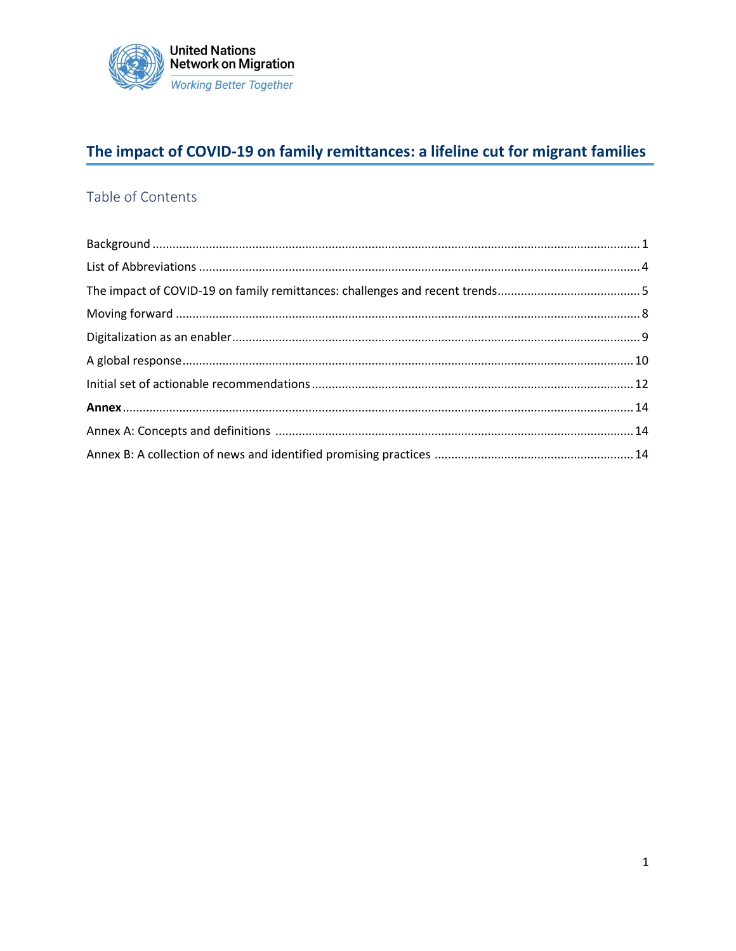

### The impact of COVID-19 on family remittances: a lifeline cut for migrant families

### <span id="page-0-0"></span>Table of Contents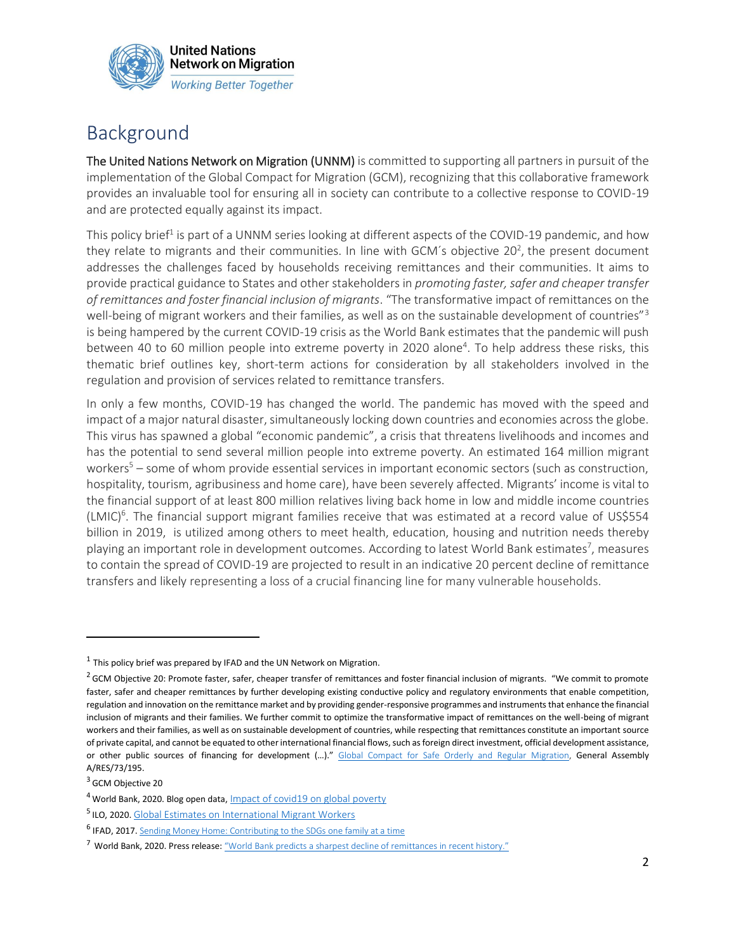

## Background

The United Nations Network on Migration (UNNM) is committed to supporting all partners in pursuit of the implementation of the Global Compact for Migration (GCM), recognizing that this collaborative framework provides an invaluable tool for ensuring all in society can contribute to a collective response to COVID-19 and are protected equally against its impact.

This policy brief<sup>1</sup> is part of a UNNM series looking at different aspects of the COVID-19 pandemic, and how they relate to migrants and their communities. In line with GCM's objective 20<sup>2</sup>, the present document addresses the challenges faced by households receiving remittances and their communities. It aims to provide practical guidance to States and other stakeholders in *promoting faster, safer and cheaper transfer of remittances and foster financial inclusion of migrants*. "The transformative impact of remittances on the well-being of migrant workers and their families, as well as on the sustainable development of countries"<sup>3</sup> is being hampered by the current COVID-19 crisis as the World Bank estimates that the pandemic will push between 40 to 60 million people into extreme poverty in 2020 alone<sup>4</sup>. To help address these risks, this thematic brief outlines key, short-term actions for consideration by all stakeholders involved in the regulation and provision of services related to remittance transfers.

In only a few months, COVID-19 has changed the world. The pandemic has moved with the speed and impact of a major natural disaster, simultaneously locking down countries and economies across the globe. This virus has spawned a global "economic pandemic", a crisis that threatens livelihoods and incomes and has the potential to send several million people into extreme poverty. An estimated 164 million migrant workers<sup>5</sup> – some of whom provide essential services in important economic sectors (such as construction, hospitality, tourism, agribusiness and home care), have been severely affected. Migrants' income is vital to the financial support of at least 800 million relatives living back home in low and middle income countries  $(LMIC)^6$ . The financial support migrant families receive that was estimated at a record value of US\$554 billion in 2019, is utilized among others to meet health, education, housing and nutrition needs thereby playing an important role in development outcomes. According to latest World Bank estimates<sup>7</sup>, measures to contain the spread of COVID-19 are projected to result in an indicative 20 percent decline of remittance transfers and likely representing a loss of a crucial financing line for many vulnerable households.

 $<sup>1</sup>$  This policy brief was prepared by IFAD and the UN Network on Migration.</sup>

<sup>&</sup>lt;sup>2</sup> GCM Objective 20: Promote faster, safer, cheaper transfer of remittances and foster financial inclusion of migrants. "We commit to promote faster, safer and cheaper remittances by further developing existing conductive policy and regulatory environments that enable competition, regulation and innovation on the remittance market and by providing gender-responsive programmes and instruments that enhance the financial inclusion of migrants and their families. We further commit to optimize the transformative impact of remittances on the well-being of migrant workers and their families, as well as on sustainable development of countries, while respecting that remittances constitute an important source of private capital, and cannot be equated to other international financial flows, such as foreign direct investment, official development assistance, or other public sources of financing for development (...)." [Global Compact for Safe Orderly and Regular Migration,](https://migrationnetwork.un.org/sites/default/files/docs/gcm-n1845199.pdf) General Assembly A/RES/73/195.

<sup>&</sup>lt;sup>3</sup> GCM Objective 20

<sup>&</sup>lt;sup>4</sup> World Bank, 2020. Blog open data, *[Impact of covid19 on global poverty](https://blogs.worldbank.org/opendata/impact-covid-19-coronavirus-global-poverty-why-sub-saharan-africa-might-be-region-hardest)* 

<sup>&</sup>lt;sup>5</sup> ILO, 2020. [Global Estimates on International Migrant Workers](https://www.ilo.org/global/publications/books/WCMS_652001/lang--en/index.htm)

<sup>&</sup>lt;sup>6</sup> IFAD, 2017. [Sending Money Home: Contributing to the SDGs one family at a time](https://www.ifad.org/en/web/knowledge/publication/asset/39407416)

<sup>7</sup> World Bank, 2020. Press release: "World Bank predicts [a sharpest decline of remittances in recent history."](https://www.worldbank.org/en/news/press-release/2020/04/22/world-bank-predicts-sharpest-decline-of-remittances-in-recent-history)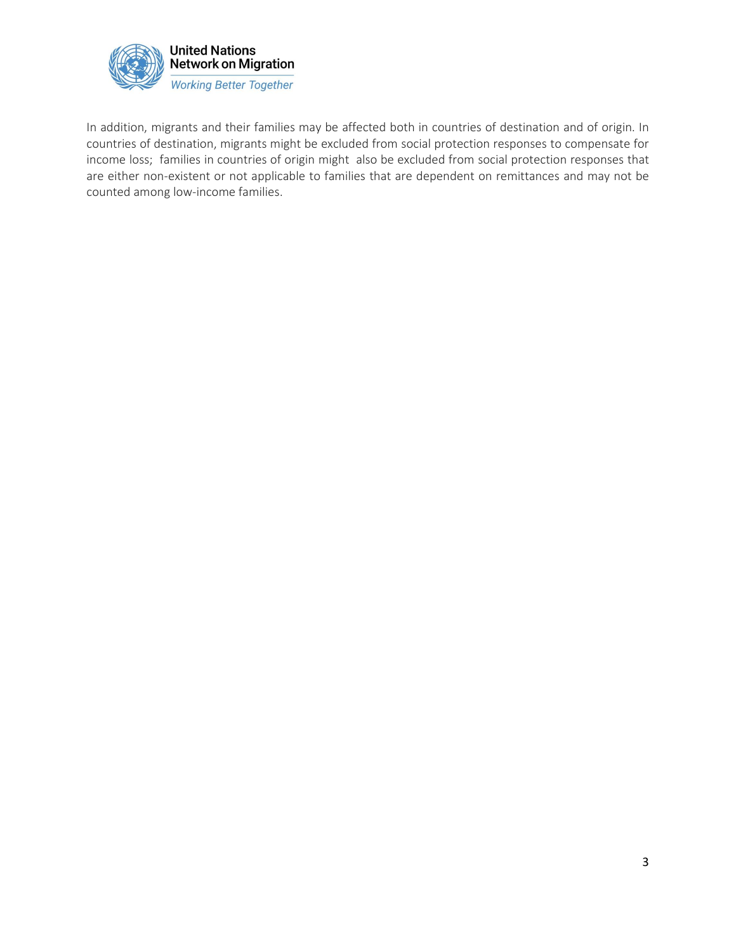

In addition, migrants and their families may be affected both in countries of destination and of origin. In countries of destination, migrants might be excluded from social protection responses to compensate for income loss; families in countries of origin might also be excluded from social protection responses that are either non-existent or not applicable to families that are dependent on remittances and may not be counted among low-income families.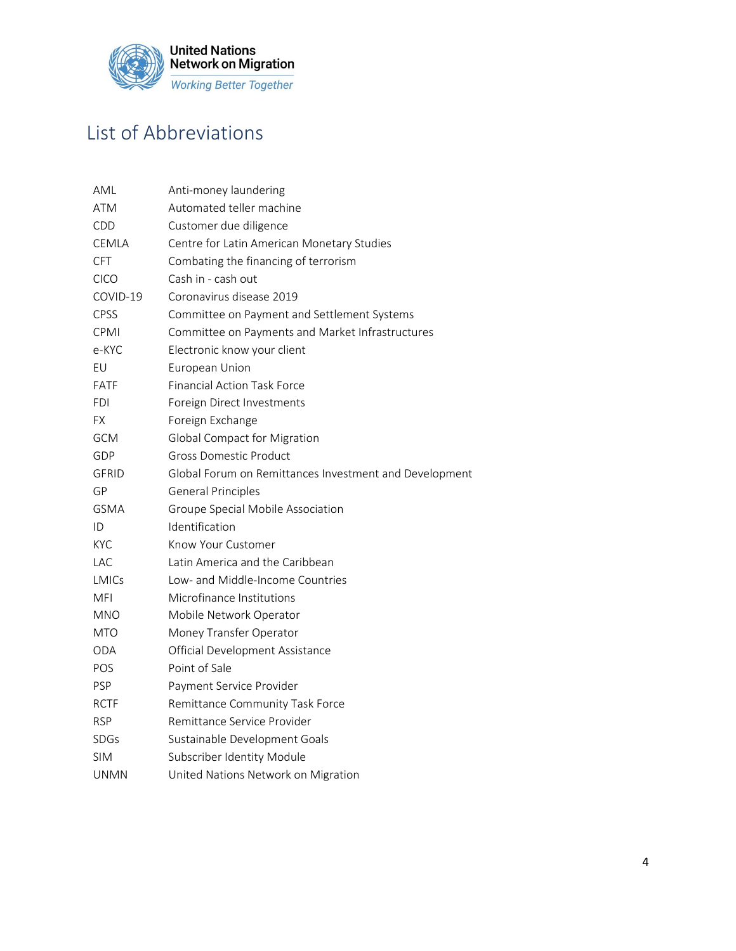

# <span id="page-3-0"></span>List of Abbreviations

| AML          | Anti-money laundering                                  |
|--------------|--------------------------------------------------------|
| <b>ATM</b>   | Automated teller machine                               |
| CDD          | Customer due diligence                                 |
| <b>CEMLA</b> | Centre for Latin American Monetary Studies             |
| <b>CFT</b>   | Combating the financing of terrorism                   |
| <b>CICO</b>  | Cash in - cash out                                     |
| COVID-19     | Coronavirus disease 2019                               |
| <b>CPSS</b>  | Committee on Payment and Settlement Systems            |
| CPMI         | Committee on Payments and Market Infrastructures       |
| e-KYC        | Electronic know your client                            |
| EU           | European Union                                         |
| FATF         | <b>Financial Action Task Force</b>                     |
| FDI          | Foreign Direct Investments                             |
| FΧ.          | Foreign Exchange                                       |
| <b>GCM</b>   | Global Compact for Migration                           |
| GDP          | <b>Gross Domestic Product</b>                          |
| <b>GFRID</b> | Global Forum on Remittances Investment and Development |
| GP           | <b>General Principles</b>                              |
| <b>GSMA</b>  | Groupe Special Mobile Association                      |
| ID           | Identification                                         |
| KYC          | Know Your Customer                                     |
| LAC          | Latin America and the Caribbean                        |
| LMICs        | Low- and Middle-Income Countries                       |
| <b>MFI</b>   | Microfinance Institutions                              |
| <b>MNO</b>   | Mobile Network Operator                                |
| MTO          | Money Transfer Operator                                |
| <b>ODA</b>   | Official Development Assistance                        |
| POS          | Point of Sale                                          |
| <b>PSP</b>   | Payment Service Provider                               |
| <b>RCTF</b>  | Remittance Community Task Force                        |
| <b>RSP</b>   | Remittance Service Provider                            |
| SDGs         | Sustainable Development Goals                          |
| <b>SIM</b>   | Subscriber Identity Module                             |
| <b>UNMN</b>  | United Nations Network on Migration                    |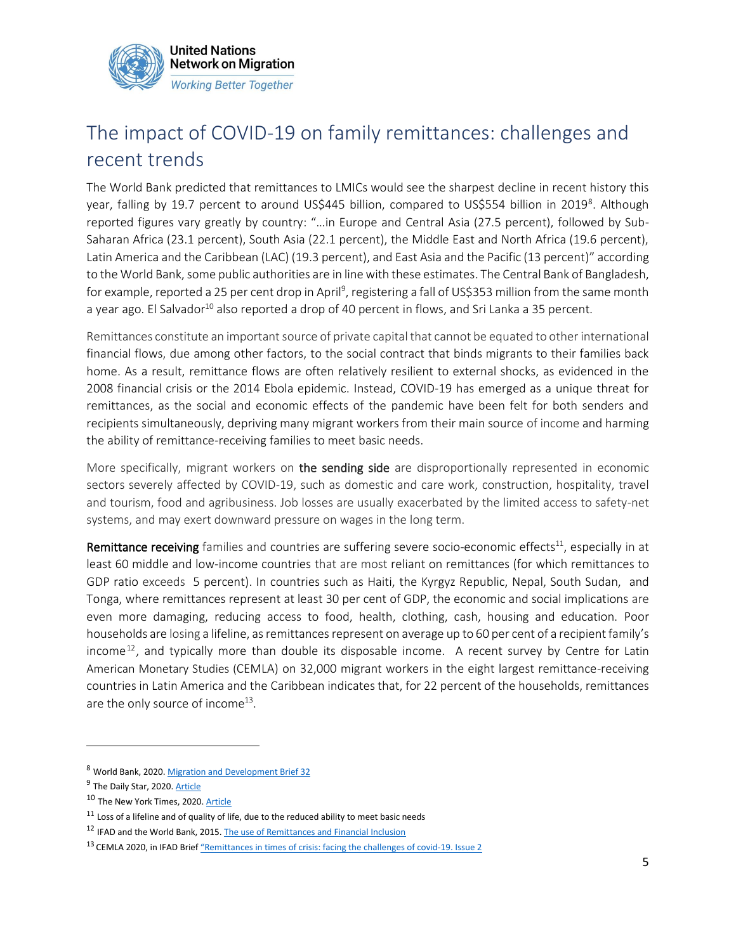

# <span id="page-4-0"></span>The impact of COVID-19 on family remittances: challenges and recent trends

The World Bank predicted that remittances to LMICs would see the sharpest decline in recent history this year, falling by 19.7 percent to around US\$445 billion, compared to US\$554 billion in 2019<sup>8</sup>. Although reported figures vary greatly by country: "…in Europe and Central Asia (27.5 percent), followed by Sub-Saharan Africa (23.1 percent), South Asia (22.1 percent), the Middle East and North Africa (19.6 percent), Latin America and the Caribbean (LAC) (19.3 percent), and East Asia and the Pacific (13 percent)" according to the World Bank, some public authorities are in line with these estimates. The Central Bank of Bangladesh, for example, reported a 25 per cent drop in April<sup>9</sup>, registering a fall of US\$353 million from the same month a year ago. El Salvador<sup>10</sup> also reported a drop of 40 percent in flows, and Sri Lanka a 35 percent.

Remittances constitute an important source of private capital that cannot be equated to other international financial flows, due among other factors, to the social contract that binds migrants to their families back home. As a result, remittance flows are often relatively resilient to external shocks, as evidenced in the 2008 financial crisis or the 2014 Ebola epidemic. Instead, COVID-19 has emerged as a unique threat for remittances, as the social and economic effects of the pandemic have been felt for both senders and recipients simultaneously, depriving many migrant workers from their main source of income and harming the ability of remittance-receiving families to meet basic needs.

More specifically, migrant workers on the sending side are disproportionally represented in economic sectors severely affected by COVID-19, such as domestic and care work, construction, hospitality, travel and tourism, food and agribusiness. Job losses are usually exacerbated by the limited access to safety-net systems, and may exert downward pressure on wages in the long term.

Remittance receiving families and countries are suffering severe socio-economic effects $^{11}$ , especially in at least 60 middle and low-income countries that are most reliant on remittances (for which remittances to GDP ratio exceeds 5 percent). In countries such as Haiti, the Kyrgyz Republic, Nepal, South Sudan, and Tonga, where remittances represent at least 30 per cent of GDP, the economic and social implications are even more damaging, reducing access to food, health, clothing, cash, housing and education. Poor households are losing a lifeline, as remittances represent on average up to 60 per cent of a recipient family's income<sup>12</sup>, and typically more than double its disposable income. A recent survey by Centre for Latin American Monetary Studies (CEMLA) on 32,000 migrant workers in the eight largest remittance-receiving countries in Latin America and the Caribbean indicates that, for 22 percent of the households, remittances are the only source of income<sup>13</sup>.

<sup>8</sup> World Bank, 2020[. Migration and Development Brief 32](https://www.knomad.org/publication/migration-and-development-brief-32-covid-19-crisis-through-migration-lens)

<sup>&</sup>lt;sup>9</sup> The Daily Star, 2020[. Article](https://www.thedailystar.net/business/news/remittances-depressing-descent-2020-1899265)

<sup>&</sup>lt;sup>10</sup> The New York Times, 2020[. Article](https://www.nytimes.com/reuters/2020/06/01/business/01reuters-health-coronavirus-remittances-insight.html)

 $11$  Loss of a lifeline and of quality of life, due to the reduced ability to meet basic needs

<sup>&</sup>lt;sup>12</sup> IFAD and the World Bank, 2015[. The use of Remittances and Financial Inclusion](https://www.ifad.org/en/web/knowledge/publication/asset/40187416)

<sup>&</sup>lt;sup>13</sup> CEMLA 2020, in IFAD Brief "Remittances in times of crisi[s: facing the challenges of covid-19. Issue 2](http://sh1.sendinblue.com/vahk5el4lt7e.html?t=1587455884)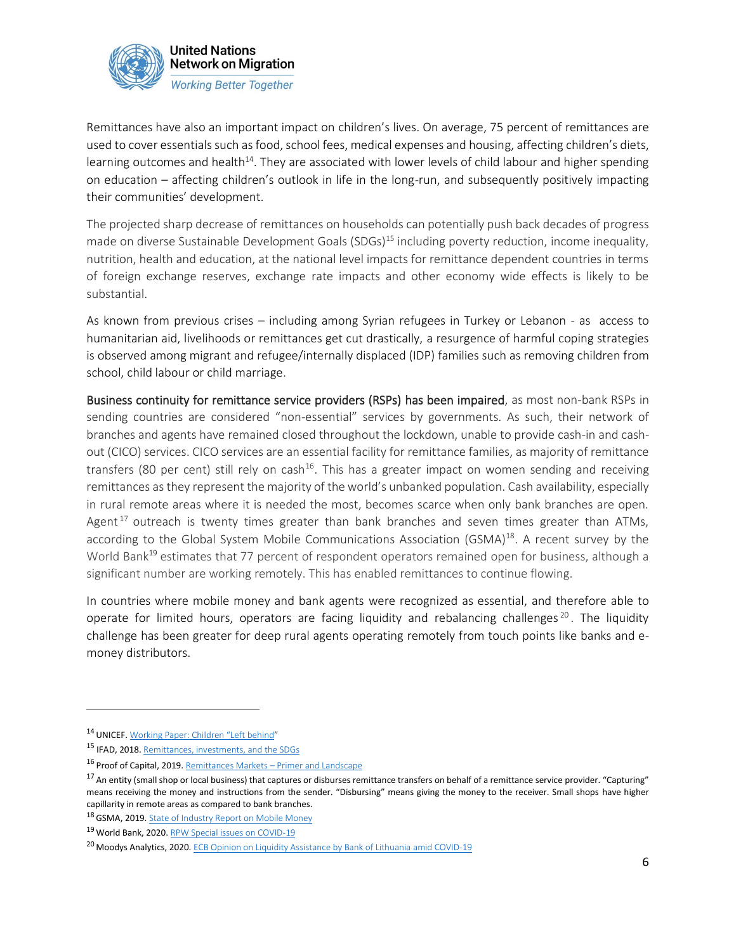

Remittances have also an important impact on children's lives. On average, 75 percent of remittances are used to cover essentials such as food, school fees, medical expenses and housing, affecting children's diets, learning outcomes and health<sup>14</sup>. They are associated with lower levels of child labour and higher spending on education – affecting children's outlook in life in the long-run, and subsequently positively impacting their communities' development.

The projected sharp decrease of remittances on households can potentially push back decades of progress made on diverse Sustainable Development Goals (SDGs)<sup>15</sup> including poverty reduction, income inequality, nutrition, health and education, at the national level impacts for remittance dependent countries in terms of foreign exchange reserves, exchange rate impacts and other economy wide effects is likely to be substantial.

As known from previous crises – including among Syrian refugees in Turkey or Lebanon - as access to humanitarian aid, livelihoods or remittances get cut drastically, a resurgence of harmful coping strategies is observed among migrant and refugee/internally displaced (IDP) families such as removing children from school, child labour or child marriage.

Business continuity for remittance service providers (RSPs) has been impaired, as most non-bank RSPs in sending countries are considered "non-essential" services by governments. As such, their network of branches and agents have remained closed throughout the lockdown, unable to provide cash-in and cashout (CICO) services. CICO services are an essential facility for remittance families, as majority of remittance transfers (80 per cent) still rely on cash<sup>16</sup>. This has a greater impact on women sending and receiving remittances as they represent the majority of the world's unbanked population. Cash availability, especially in rural remote areas where it is needed the most, becomes scarce when only bank branches are open. Agent<sup>17</sup> outreach is twenty times greater than bank branches and seven times greater than ATMs, according to the Global System Mobile Communications Association (GSMA)<sup>18</sup>. A recent survey by the World Bank<sup>19</sup> estimates that 77 percent of respondent operators remained open for business, although a significant number are working remotely. This has enabled remittances to continue flowing.

In countries where mobile money and bank agents were recognized as essential, and therefore able to operate for limited hours, operators are facing liquidity and rebalancing challenges<sup>20</sup>. The liquidity challenge has been greater for deep rural agents operating remotely from touch points like banks and emoney distributors.

<sup>14</sup> UNICEF. [Working Paper: Children](https://www.unicef.org/media/61041/file) "Left behind"

<sup>15</sup> IFAD, 2018. [Remittances, investments, and the SDGs](https://www.ifad.org/documents/38714170/39148759/Remittances%2C+investments+and+the+Sustainable+Development+Goals.pdf/680f2e3f-38dc-42c2-9857-df9580d35a45)

<sup>16</sup> Proof of Capital, 2019. Remittances Markets – [Primer and Landscape](https://medium.com/proofofcapital/remittance-market-primer-and-landscape-3213c2c81771)

<sup>&</sup>lt;sup>17</sup> An entity (small shop or local business) that captures or disburses remittance transfers on behalf of a remittance service provider. "Capturing" means receiving the money and instructions from the sender. "Disbursing" means giving the money to the receiver. Small shops have higher capillarity in remote areas as compared to bank branches.

<sup>18</sup> GSMA, 2019. [State of Industry Report on Mobile Money](https://www.gsma.com/sotir/wp-content/uploads/2020/03/GSMA-State-of-the-Industry-Report-on-Mobile-Money-2019-Full-Report.pdf)

<sup>19</sup> World Bank, 2020. [RPW Special issues on](https://remittanceprices.worldbank.org/en) COVID-19

<sup>&</sup>lt;sup>20</sup> Moodys Analytics, 2020. [ECB Opinion on Liquidity Assistance by Bank of Lithuania amid COVID-19](https://www.moodysanalytics.com/regulatory-news/mar-30-20-ecb-opinion-on-liquidity-assistance-by-bank-of-lithuania-amid-covid-19)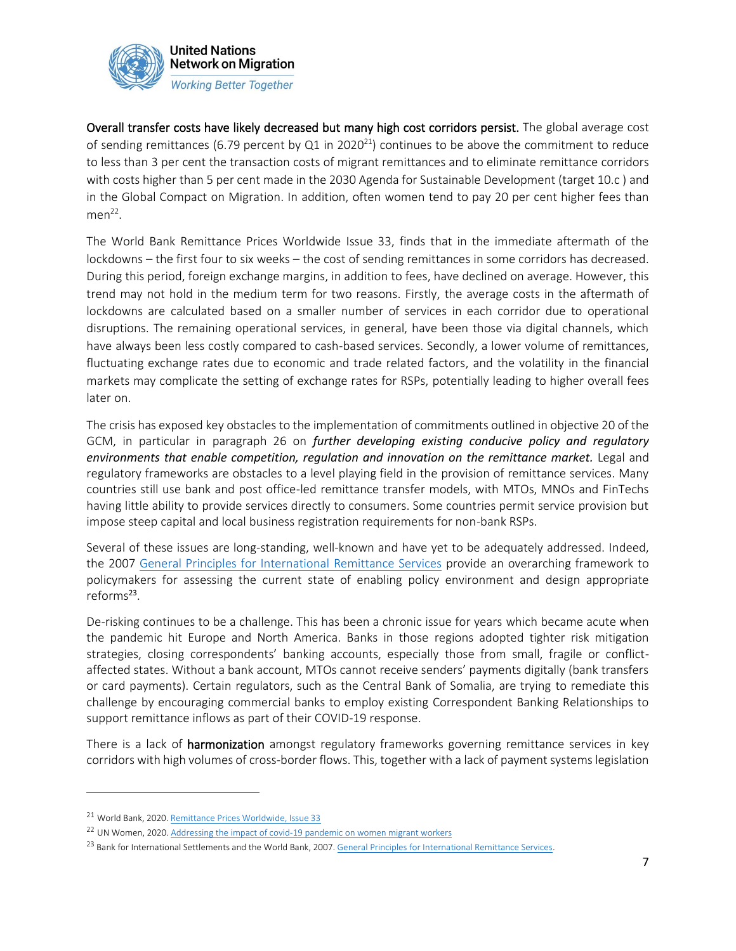

Overall transfer costs have likely decreased but many high cost corridors persist. The global average cost of sending remittances (6.79 percent by  $Q1$  in 2020<sup>21</sup>) continues to be above the commitment to reduce to less than 3 per cent the transaction costs of migrant remittances and to eliminate remittance corridors with costs higher than 5 per cent made in the 2030 Agenda for Sustainable Development (target 10.c ) and in the Global Compact on Migration. In addition, often women tend to pay 20 per cent higher fees than  $men<sup>22</sup>$ .

The World Bank Remittance Prices Worldwide Issue 33, finds that in the immediate aftermath of the lockdowns – the first four to six weeks – the cost of sending remittances in some corridors has decreased. During this period, foreign exchange margins, in addition to fees, have declined on average. However, this trend may not hold in the medium term for two reasons. Firstly, the average costs in the aftermath of lockdowns are calculated based on a smaller number of services in each corridor due to operational disruptions. The remaining operational services, in general, have been those via digital channels, which have always been less costly compared to cash-based services. Secondly, a lower volume of remittances, fluctuating exchange rates due to economic and trade related factors, and the volatility in the financial markets may complicate the setting of exchange rates for RSPs, potentially leading to higher overall fees later on.

The crisis has exposed key obstacles to the implementation of commitments outlined in objective 20 of the GCM, in particular in paragraph 26 on *further developing existing conducive policy and regulatory environments that enable competition, regulation and innovation on the remittance market.* Legal and regulatory frameworks are obstacles to a level playing field in the provision of remittance services. Many countries still use bank and post office-led remittance transfer models, with MTOs, MNOs and FinTechs having little ability to provide services directly to consumers. Some countries permit service provision but impose steep capital and local business registration requirements for non-bank RSPs.

Several of these issues are long-standing, well-known and have yet to be adequately addressed. Indeed, the 2007 [General Principles for International Remittance Services](https://www.bis.org/cpmi/publ/d76.pdf) provide an overarching framework to policymakers for assessing the current state of enabling policy environment and design appropriate reforms<sup>23</sup>.

De-risking continues to be a challenge. This has been a chronic issue for years which became acute when the pandemic hit Europe and North America. Banks in those regions adopted tighter risk mitigation strategies, closing correspondents' banking accounts, especially those from small, fragile or conflictaffected states. Without a bank account, MTOs cannot receive senders' payments digitally (bank transfers or card payments). Certain regulators, such as the Central Bank of Somalia, are trying to remediate this challenge by encouraging commercial banks to employ existing Correspondent Banking Relationships to support remittance inflows as part of their COVID-19 response.

There is a lack of **harmonization** amongst regulatory frameworks governing remittance services in key corridors with high volumes of cross-border flows. This, together with a lack of payment systems legislation

<sup>21</sup> World Bank, 2020. [Remittance Prices Worldwide, Issue 33](https://remittanceprices.worldbank.org/sites/default/files/rpw_report_march_2020.pdf)

<sup>&</sup>lt;sup>22</sup> UN Women, 2020[. Addressing the impact of covid-19 pandemic on women migrant workers](https://www.unwomen.org/-/media/headquarters/attachments/sections/library/publications/2020/guidance-note-impacts-of-the-covid-19-pandemic-on-women-migrant-workers-en.pdf?la=en&vs=227)

<sup>&</sup>lt;sup>23</sup> Bank for International Settlements and the World Bank, 2007[. General Principles for International Remittance Services.](https://www.bis.org/cpmi/publ/d76.pdf)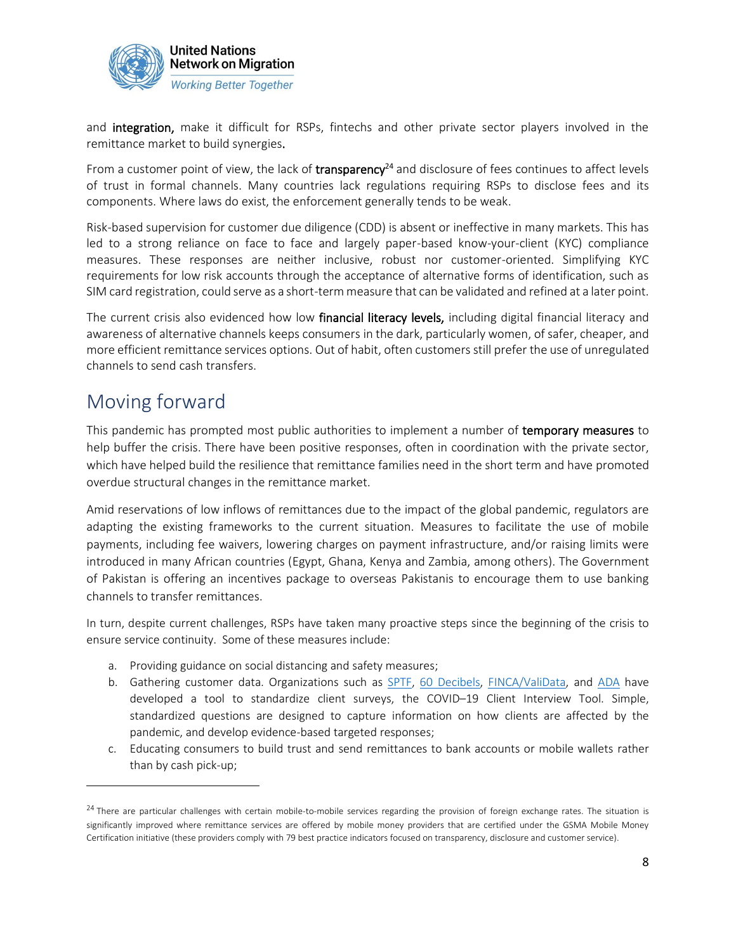

and integration, make it difficult for RSPs, fintechs and other private sector players involved in the remittance market to build synergies.

From a customer point of view, the lack of transparency<sup>24</sup> and disclosure of fees continues to affect levels of trust in formal channels. Many countries lack regulations requiring RSPs to disclose fees and its components. Where laws do exist, the enforcement generally tends to be weak.

Risk-based supervision for customer due diligence (CDD) is absent or ineffective in many markets. This has led to a strong reliance on face to face and largely paper-based know-your-client (KYC) compliance measures. These responses are neither inclusive, robust nor customer-oriented. Simplifying KYC requirements for low risk accounts through the acceptance of alternative forms of identification, such as SIM card registration, could serve as a short-term measure that can be validated and refined at a later point.

The current crisis also evidenced how low financial literacy levels, including digital financial literacy and awareness of alternative channels keeps consumers in the dark, particularly women, of safer, cheaper, and more efficient remittance services options. Out of habit, often customers still prefer the use of unregulated channels to send cash transfers.

## <span id="page-7-0"></span>Moving forward

This pandemic has prompted most public authorities to implement a number of temporary measures to help buffer the crisis. There have been positive responses, often in coordination with the private sector, which have helped build the resilience that remittance families need in the short term and have promoted overdue structural changes in the remittance market.

Amid reservations of low inflows of remittances due to the impact of the global pandemic, regulators are adapting the existing frameworks to the current situation. Measures to facilitate the use of mobile payments, including fee waivers, lowering charges on payment infrastructure, and/or raising limits were introduced in many African countries (Egypt, Ghana, Kenya and Zambia, among others). The Government of Pakistan is offering an incentives package to overseas Pakistanis to encourage them to use banking channels to transfer remittances.

In turn, despite current challenges, RSPs have taken many proactive steps since the beginning of the crisis to ensure service continuity. Some of these measures include:

- a. Providing guidance on social distancing and safety measures;
- b. Gathering customer data. Organizations such as [SPTF,](https://sptf.info/) [60 Decibels,](https://www.60decibels.com/) [FINCA/ValiData,](https://finca.org/our-work/research/validata/) and [ADA](https://www.ada-microfinance.org/en) have developed a tool to standardize client surveys, the COVID–19 Client Interview Tool. Simple, standardized questions are designed to capture information on how clients are affected by the pandemic, and develop evidence-based targeted responses;
- c. Educating consumers to build trust and send remittances to bank accounts or mobile wallets rather than by cash pick-up;

<sup>&</sup>lt;sup>24</sup> There are particular challenges with certain mobile-to-mobile services regarding the provision of foreign exchange rates. The situation is significantly improved where remittance services are offered by mobile money providers that are certified under the GSMA Mobile Money Certification initiative (these providers comply with 79 best practice indicators focused on transparency, disclosure and customer service).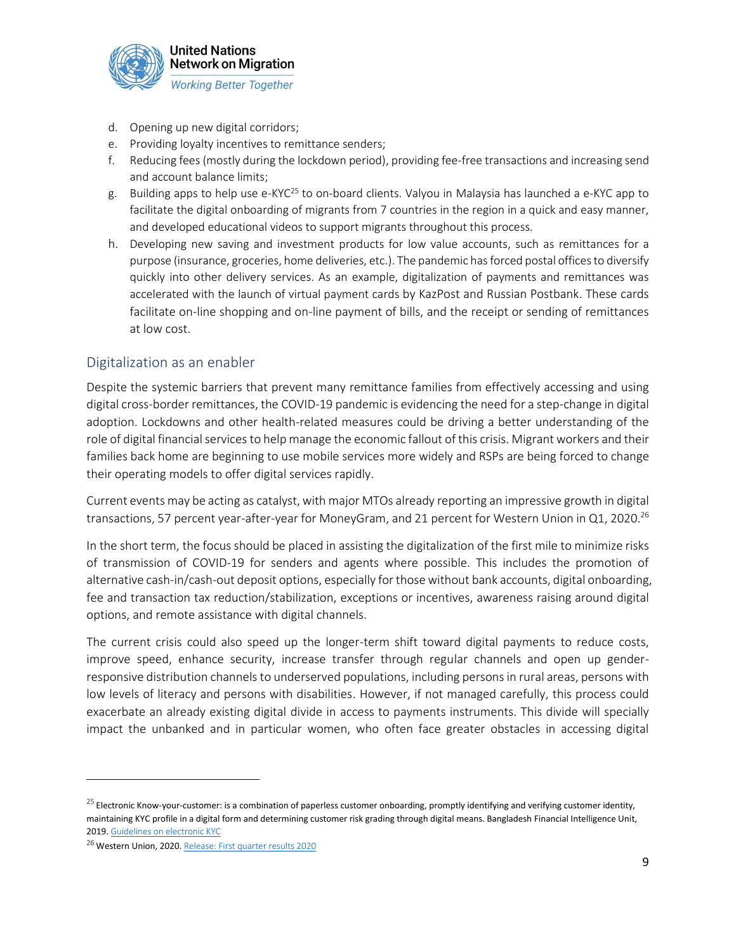

- d. Opening up new digital corridors;
- e. Providing loyalty incentives to remittance senders;
- f. Reducing fees (mostly during the lockdown period), providing fee-free transactions and increasing send and account balance limits;
- g. Building apps to help use e-KYC<sup>25</sup> to on-board clients. Valyou in Malaysia has launched a e-KYC app to facilitate the digital onboarding of migrants from 7 countries in the region in a quick and easy manner, and developed educational videos to support migrants throughout this process.
- h. Developing new saving and investment products for low value accounts, such as remittances for a purpose (insurance, groceries, home deliveries, etc.). The pandemic has forced postal offices to diversify quickly into other delivery services. As an example, digitalization of payments and remittances was accelerated with the launch of virtual payment cards by KazPost and Russian Postbank. These cards facilitate on-line shopping and on-line payment of bills, and the receipt or sending of remittances at low cost.

#### <span id="page-8-0"></span>Digitalization as an enabler

Despite the systemic barriers that prevent many remittance families from effectively accessing and using digital cross-border remittances, the COVID-19 pandemic is evidencing the need for a step-change in digital adoption. Lockdowns and other health-related measures could be driving a better understanding of the role of digital financial services to help manage the economic fallout of this crisis. Migrant workers and their families back home are beginning to use mobile services more widely and RSPs are being forced to change their operating models to offer digital services rapidly.

Current events may be acting as catalyst, with major MTOs already reporting an impressive growth in digital transactions, 57 percent year-after-year for MoneyGram, and 21 percent for Western Union in Q1, 2020.<sup>26</sup>

In the short term, the focus should be placed in assisting the digitalization of the first mile to minimize risks of transmission of COVID-19 for senders and agents where possible. This includes the promotion of alternative cash-in/cash-out deposit options, especially for those without bank accounts, digital onboarding, fee and transaction tax reduction/stabilization, exceptions or incentives, awareness raising around digital options, and remote assistance with digital channels.

The current crisis could also speed up the longer-term shift toward digital payments to reduce costs, improve speed, enhance security, increase transfer through regular channels and open up genderresponsive distribution channels to underserved populations, including persons in rural areas, persons with low levels of literacy and persons with disabilities. However, if not managed carefully, this process could exacerbate an already existing digital divide in access to payments instruments. This divide will specially impact the unbanked and in particular women, who often face greater obstacles in accessing digital

 $^{25}$  Electronic Know-your-customer: is a combination of paperless customer onboarding, promptly identifying and verifying customer identity, maintaining KYC profile in a digital form and determining customer risk grading through digital means. Bangladesh Financial Intelligence Unit, 2019. [Guidelines on electronic KYC](https://www.bb.org.bd/aboutus/regulationguideline/aml/jan082020_ekyc.pdf)

<sup>&</sup>lt;sup>26</sup> Western Union, 2020. [Release: First quarter results 2020](http://ir.westernunion.com/files/doc_financials/2020/q1/WU-Q1-2020-Earnings-Release-Final.pdf)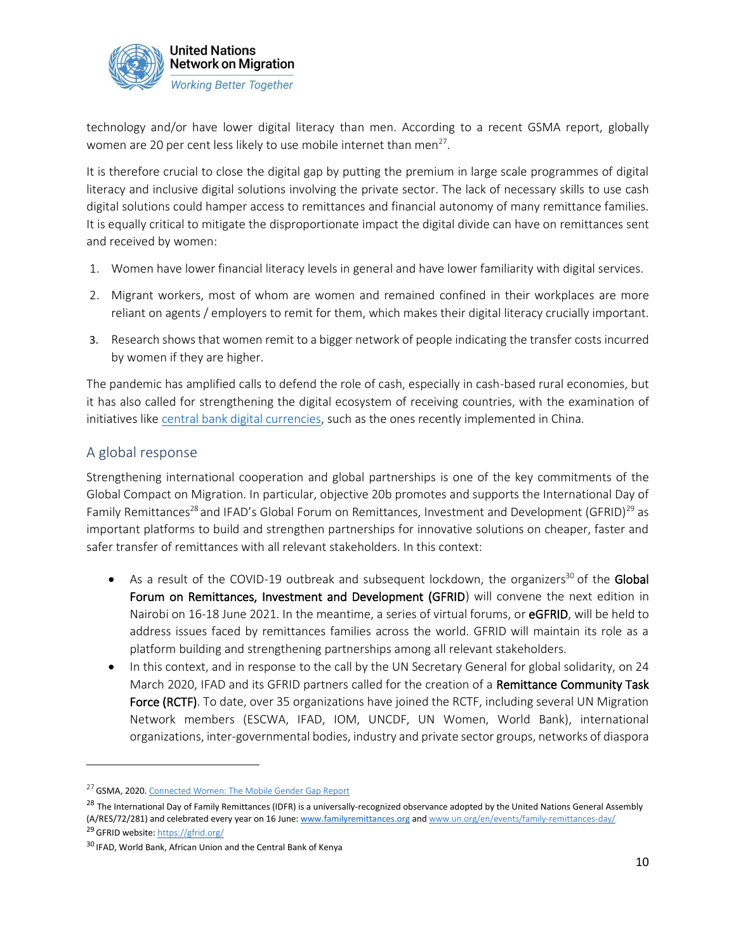

technology and/or have lower digital literacy than men. According to a recent GSMA report, globally women are 20 per cent less likely to use mobile internet than men<sup>27</sup>.

It is therefore crucial to close the digital gap by putting the premium in large scale programmes of digital literacy and inclusive digital solutions involving the private sector. The lack of necessary skills to use cash digital solutions could hamper access to remittances and financial autonomy of many remittance families. It is equally critical to mitigate the disproportionate impact the digital divide can have on remittances sent and received by women:

- 1. Women have lower financial literacy levels in general and have lower familiarity with digital services.
- 2. Migrant workers, most of whom are women and remained confined in their workplaces are more reliant on agents / employers to remit for them, which makes their digital literacy crucially important.
- 3. Research shows that women remit to a bigger network of people indicating the transfer costs incurred by women if they are higher.

The pandemic has amplified calls to defend the role of cash, especially in cash-based rural economies, but it has also called for strengthening the digital ecosystem of receiving countries, with the examination of initiatives lik[e central bank digital currencies,](http://bloomberg.com/news/articles/2020-04-15/china-s-central-bank-to-run-simulations-of-digital-currency-use) such as the ones recently implemented in China.

#### <span id="page-9-0"></span>A global response

Strengthening international cooperation and global partnerships is one of the key commitments of the Global Compact on Migration. In particular, objective 20b promotes and supports the International Day of Family Remittances<sup>28</sup> and IFAD's Global Forum on Remittances, Investment and Development (GFRID)<sup>29</sup> as important platforms to build and strengthen partnerships for innovative solutions on cheaper, faster and safer transfer of remittances with all relevant stakeholders. In this context:

- As a result of the COVID-19 outbreak and subsequent lockdown, the organizers<sup>30</sup> of the Global Forum on Remittances, Investment and Development (GFRID) will convene the next edition in Nairobi on 16-18 June 2021. In the meantime, a series of virtual forums, or eGFRID, will be held to address issues faced by remittances families across the world. GFRID will maintain its role as a platform building and strengthening partnerships among all relevant stakeholders.
- In this context, and in response to the call by the UN Secretary General for global solidarity, on 24 March 2020, IFAD and its GFRID partners called for the creation of a Remittance Community Task Force (RCTF). To date, over 35 organizations have joined the RCTF, including several UN Migration Network members (ESCWA, IFAD, IOM, UNCDF, UN Women, World Bank), international organizations, inter-governmental bodies, industry and private sector groups, networks of diaspora

<sup>&</sup>lt;sup>27</sup> GSMA, 2020. [Connected Women: The Mobile Gender Gap Report](https://www.gsma.com/mobilefordevelopment/wp-content/uploads/2020/05/GSMA-The-Mobile-Gender-Gap-Report-2020.pdf)

<sup>&</sup>lt;sup>28</sup> The International Day of Family Remittances (IDFR) is a universally-recognized observance adopted by the United Nations General Assembly [\(A/RES/72/281\)](http://undocs.org/A/RES/72/281) and celebrated every year on 16 June: [www.familyremittances.org](http://www.familyremittances.org/) and [www.un.org/en/events/family-remittances-day/](http://www.un.org/en/events/family-remittances-day/) 29 GFRID website: <https://gfrid.org/>

<sup>&</sup>lt;sup>30</sup> IFAD, World Bank, African Union and the Central Bank of Kenya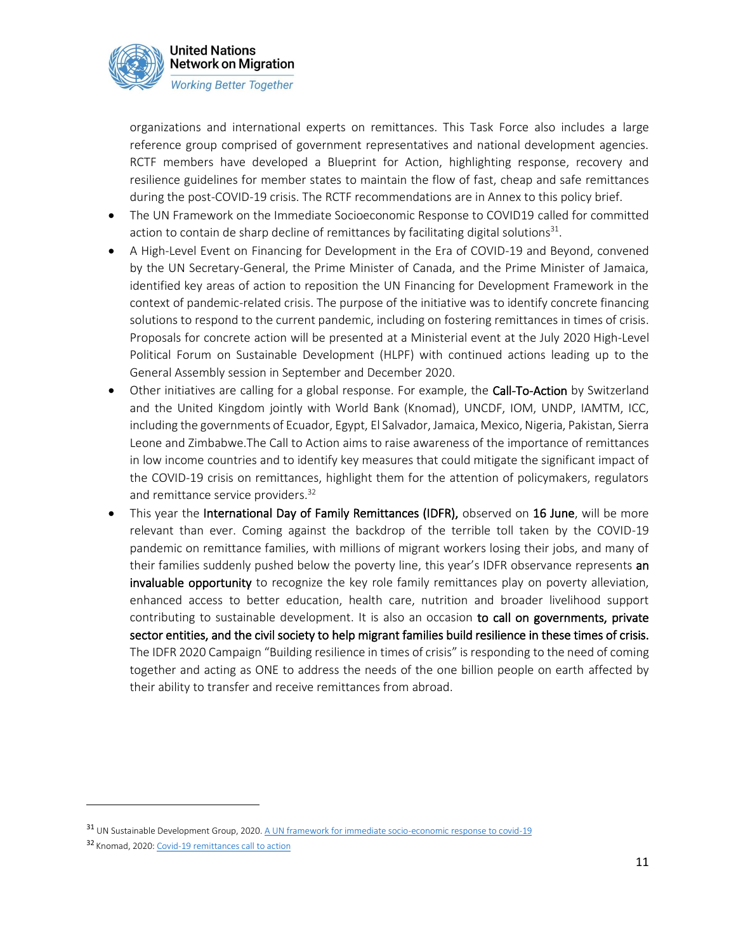

organizations and international experts on remittances. This Task Force also includes a large reference group comprised of government representatives and national development agencies. RCTF members have developed a Blueprint for Action, highlighting response, recovery and resilience guidelines for member states to maintain the flow of fast, cheap and safe remittances during the post-COVID-19 crisis. The RCTF recommendations are in Annex to this policy brief.

- The UN Framework on the Immediate Socioeconomic Response to COVID19 called for committed action to contain de sharp decline of remittances by facilitating digital solutions<sup>31</sup>.
- A High-Level Event on Financing for Development in the Era of COVID-19 and Beyond, convened by the UN Secretary-General, the Prime Minister of Canada, and the Prime Minister of Jamaica, identified key areas of action to reposition the UN Financing for Development Framework in the context of pandemic-related crisis. The purpose of the initiative was to identify concrete financing solutions to respond to the current pandemic, including on fostering remittances in times of crisis. Proposals for concrete action will be presented at a Ministerial event at the July 2020 High-Level Political Forum on Sustainable Development (HLPF) with continued actions leading up to the General Assembly session in September and December 2020.
- Other initiatives are calling for a global response. For example, the Call-To-Action by Switzerland and the United Kingdom jointly with World Bank (Knomad), UNCDF, IOM, UNDP, IAMTM, ICC, including the governments of Ecuador, Egypt, El Salvador, Jamaica, Mexico, Nigeria, Pakistan, Sierra Leone and Zimbabwe.The Call to Action aims to raise awareness of the importance of remittances in low income countries and to identify key measures that could mitigate the significant impact of the COVID-19 crisis on remittances, highlight them for the attention of policymakers, regulators and remittance service providers.<sup>32</sup>
- This year the International Day of Family Remittances (IDFR), observed on 16 June, will be more relevant than ever. Coming against the backdrop of the terrible toll taken by the COVID-19 pandemic on remittance families, with millions of migrant workers losing their jobs, and many of their families suddenly pushed below the poverty line, this year's IDFR observance represents an invaluable opportunity to recognize the key role family remittances play on poverty alleviation, enhanced access to better education, health care, nutrition and broader livelihood support contributing to sustainable development. It is also an occasion to call on governments, private sector entities, and the civil society to help migrant families build resilience in these times of crisis. The IDFR 2020 Campaign "Building resilience in times of crisis" is responding to the need of coming together and acting as ONE to address the needs of the one billion people on earth affected by their ability to transfer and receive remittances from abroad.

<sup>31</sup> UN Sustainable Development Group, 2020[. A UN framework for immediate socio-economic response to covid-19](https://unsdg.un.org/resources/un-framework-immediate-socio-economic-response-covid-19)

<sup>32</sup> Knomad, 2020[: Covid-19 remittances call to action](https://www.knomad.org/covid-19-remittances-call-to-action/)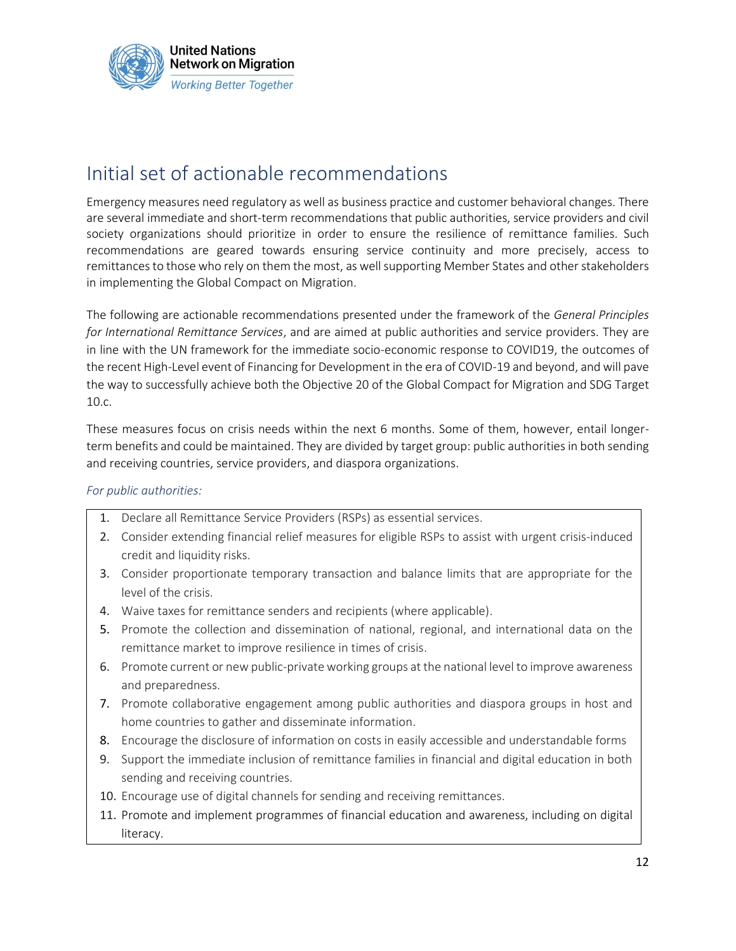

## <span id="page-11-0"></span>Initial set of actionable recommendations

Emergency measures need regulatory as well as business practice and customer behavioral changes. There are several immediate and short-term recommendations that public authorities, service providers and civil society organizations should prioritize in order to ensure the resilience of remittance families. Such recommendations are geared towards ensuring service continuity and more precisely, access to remittances to those who rely on them the most, as well supporting Member States and other stakeholders in implementing the Global Compact on Migration.

The following are actionable recommendations presented under the framework of the *General Principles for International Remittance Services*, and are aimed at public authorities and service providers. They are in line with the [UN framework for the immediate socio-economic response to COVID19,](https://www.un.org/sites/un2.un.org/files/un_framework_report_on_covid-19.pdf) the outcomes of the recent High-Level event of Financing for Development in the era of COVID-19 and beyond, and will pave the way to successfully achieve both the Objective 20 of the [Global Compact for Migration a](https://refugeesmigrants.un.org/member-states)nd SD[G Target](https://sustainabledevelopment.un.org/sdg10)  [10.c.](https://sustainabledevelopment.un.org/sdg10)

These measures focus on crisis needs within the next 6 months. Some of them, however, entail longerterm benefits and could be maintained. They are divided by target group: public authorities in both sending and receiving countries, service providers, and diaspora organizations.

#### *For public authorities:*

- 1. Declare all Remittance Service Providers (RSPs) as essential services.
- 2. Consider extending financial relief measures for eligible RSPs to assist with urgent crisis-induced credit and liquidity risks.
- 3. Consider proportionate temporary transaction and balance limits that are appropriate for the level of the crisis.
- 4. Waive taxes for remittance senders and recipients (where applicable).
- 5. Promote the collection and dissemination of national, regional, and international data on the remittance market to improve resilience in times of crisis.
- 6. Promote current or new public-private working groups at the national level to improve awareness and preparedness.
- 7. Promote collaborative engagement among public authorities and diaspora groups in host and home countries to gather and disseminate information.
- 8. Encourage the disclosure of information on costs in easily accessible and understandable forms
- 9. Support the immediate inclusion of remittance families in financial and digital education in both sending and receiving countries.
- 10. Encourage use of digital channels for sending and receiving remittances.
- 11. Promote and implement programmes of financial education and awareness, including on digital literacy.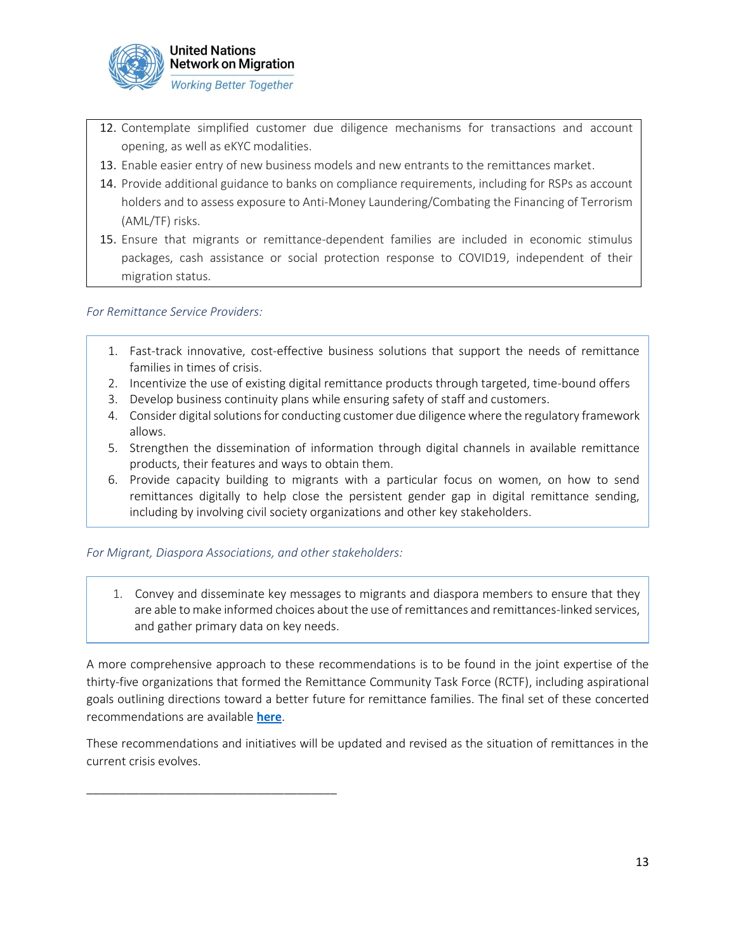

- 12. Contemplate simplified customer due diligence mechanisms for transactions and account opening, as well as eKYC modalities.
- 13. Enable easier entry of new business models and new entrants to the remittances market.
- 14. Provide additional guidance to banks on compliance requirements, including for RSPs as account holders and to assess exposure to Anti-Money Laundering/Combating the Financing of Terrorism (AML/TF) risks.
- 15. Ensure that migrants or remittance-dependent families are included in economic stimulus packages, cash assistance or social protection response to COVID19, independent of their migration status.

#### *For Remittance Service Providers:*

- 1. Fast-track innovative, cost-effective business solutions that support the needs of remittance families in times of crisis.
- 2. Incentivize the use of existing digital remittance products through targeted, time-bound offers
- 3. Develop business continuity plans while ensuring safety of staff and customers.
- 4. Consider digital solutions for conducting customer due diligence where the regulatory framework allows.
- 5. Strengthen the dissemination of information through digital channels in available remittance products, their features and ways to obtain them.
- 6. Provide capacity building to migrants with a particular focus on women, on how to send remittances digitally to help close the persistent gender gap in digital remittance sending, including by involving civil society organizations and other key stakeholders.

#### *For Migrant, Diaspora Associations, and other stakeholders:*

1. Convey and disseminate key messages to migrants and diaspora members to ensure that they are able to make informed choices about the use of remittances and remittances-linked services, and gather primary data on key needs.

A more comprehensive approach to these recommendations is to be found in the joint expertise of the thirty-five organizations that formed the Remittance Community Task Force (RCTF), including aspirational goals outlining directions toward a better future for remittance families. The final set of these concerted recommendations are available **[here](https://familyremittances.org/idfr-2020/the-remittance-community-task-force/)**.

These recommendations and initiatives will be updated and revised as the situation of remittances in the current crisis evolves.

\_\_\_\_\_\_\_\_\_\_\_\_\_\_\_\_\_\_\_\_\_\_\_\_\_\_\_\_\_\_\_\_\_\_\_\_\_\_